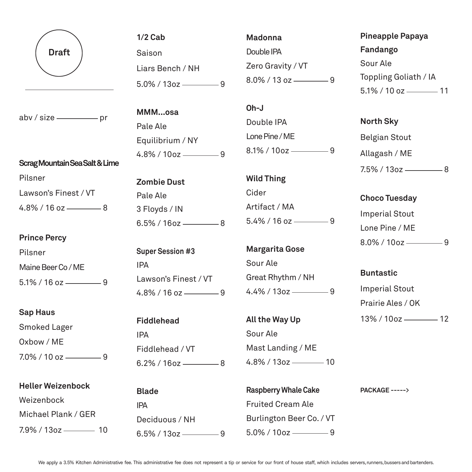

 $abv / size$  pr

## **Scrag Mountain Sea Salt & Lime**

Pilsner Lawson's Finest / VT  $4.8\%$  / 16 oz  $\frac{1}{2}$  8

## **Prince Percy**

Pilsner Maine Beer Co / ME  $5.1\%$  / 16 oz - 9

## **Sap Haus**

Smoked Lager Oxbow / ME  $7.0\%$  / 10 oz  $\frac{9}{2}$ 

| <b>Heller Weizenbock</b>   |
|----------------------------|
| Weizenbock                 |
| Michael Plank / GER        |
| $7.9\%$ / 13oz ————<br>-10 |

**1/2 Cab** Saison Liars Bench / NH  $5.0\%$  / 13oz — 9

**MMM...osa** Pale Ale Equilibrium / NY  $4.8\%$  / 10oz  $\frac{9}{2}$ 

**Zombie Dust** Pale Ale 3 Floyds / IN  $6.5\%$  / 16oz — 8

**Super Session #3** IPA Lawson's Finest / VT  $4.8\%$  / 16 oz  $\frac{9}{2}$ 

**Fiddlehead** IPA Fiddlehead / VT  $6.2\%$  / 16oz — 8

**Blade** IPA Deciduous / NH  $6.5\%$  / 13oz  $\frac{1}{2}$  9

**Madonna** Double IPA Zero Gravity / VT  $8.0\%$  / 13 oz - 9

**Oh-J**  Double IPA Lone Pine / ME  $8.1\%$  / 10oz ––––––––9

**Wild Thing** Cider Artifact / MA  $5.4\%$  / 16 oz  $\frac{9}{2}$ 

**Margarita Gose**  Sour Ale Great Rhythm / NH  $4.4\%$  / 13oz — 9

**All the Way Up** Sour Ale Mast Landing / ME 4.8% / 13oz 10

**Raspberry Whale Cake**  Fruited Cream Ale Burlington Beer Co. / VT 5.0% / 10oz 9

**Pineapple Papaya Fandango** Sour Ale Toppling Goliath / IA  $5.1\%$  / 10 oz  $\frac{11}{10}$ 

## **North Sky** Belgian Stout Allagash / ME  $7.5\%$  / 13oz  $\frac{1}{2}$  8

**Choco Tuesday** Imperial Stout Lone Pine / ME  $8.0\%$  / 10oz  $\frac{9}{2}$ 

**Buntastic** Imperial Stout Prairie Ales / OK 13% / 10oz - 12

**PACKAGE ----->**

We apply a 3.5% Kitchen Administrative fee. This administrative fee does not represent a tip or service for our front of house staff, which includes servers, runners, bussers and bartenders.